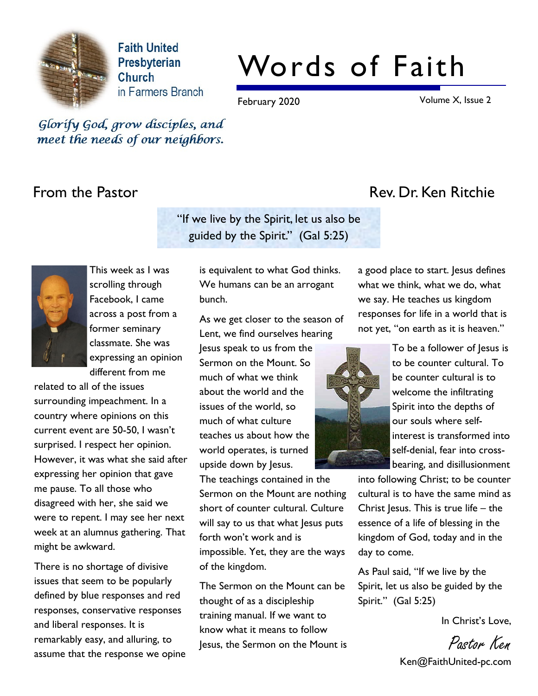

**Faith United** Presbyterian Church in Farmers Branch

# Words of Faith

February 2020 **Volume X**, Issue 2

Glorify God, grow disciples, and meet the needs of our neighbors.

"If we live by the Spirit, let us also be guided by the Spirit." (Gal 5:25)



This week as I was scrolling through Facebook, I came across a post from a former seminary classmate. She was expressing an opinion different from me

related to all of the issues surrounding impeachment. In a country where opinions on this current event are 50-50, I wasn't surprised. I respect her opinion. However, it was what she said after expressing her opinion that gave me pause. To all those who disagreed with her, she said we were to repent. I may see her next week at an alumnus gathering. That might be awkward.

There is no shortage of divisive issues that seem to be popularly defined by blue responses and red responses, conservative responses and liberal responses. It is remarkably easy, and alluring, to assume that the response we opine is equivalent to what God thinks. We humans can be an arrogant bunch.

As we get closer to the season of Lent, we find ourselves hearing

Jesus speak to us from the Sermon on the Mount. So much of what we think about the world and the issues of the world, so much of what culture teaches us about how the world operates, is turned upside down by Jesus.

The teachings contained in the Sermon on the Mount are nothing short of counter cultural. Culture will say to us that what lesus puts forth won't work and is impossible. Yet, they are the ways of the kingdom.

The Sermon on the Mount can be thought of as a discipleship training manual. If we want to know what it means to follow Jesus, the Sermon on the Mount is

## From the Pastor **Rev. Dr. Ken Ritchie**

a good place to start. Jesus defines what we think, what we do, what we say. He teaches us kingdom responses for life in a world that is not yet, "on earth as it is heaven."



To be a follower of Jesus is to be counter cultural. To be counter cultural is to welcome the infiltrating Spirit into the depths of our souls where selfinterest is transformed into self-denial, fear into crossbearing, and disillusionment

into following Christ; to be counter cultural is to have the same mind as Christ Jesus. This is true life  $-$  the essence of a life of blessing in the kingdom of God, today and in the day to come.

As Paul said, "If we live by the Spirit, let us also be guided by the Spirit." (Gal 5:25)

In Christ's Love,

Pastor Ken Ken@FaithUnited-pc.com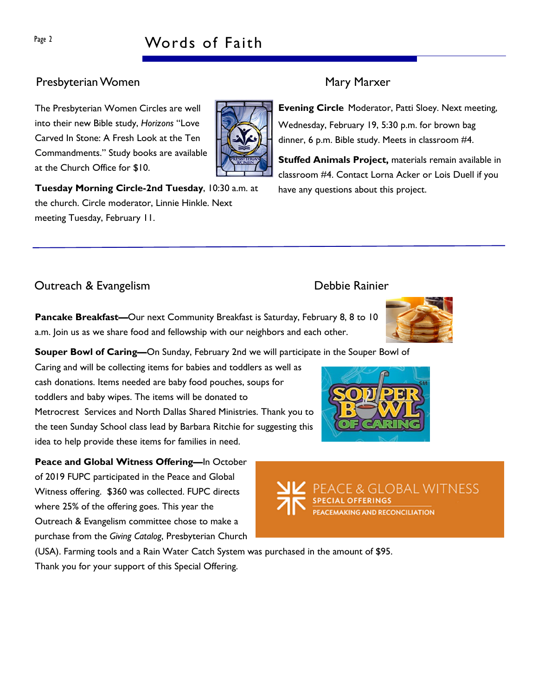# Page 2 Words of Faith

### Presbyterian Women Mary Marxer

The Presbyterian Women Circles are well into their new Bible study, Horizons "Love Carved In Stone: A Fresh Look at the Ten Commandments." Study books are available at the Church Office for \$10.

Tuesday Morning Circle-2nd Tuesday, 10:30 a.m. at the church. Circle moderator, Linnie Hinkle. Next meeting Tuesday, February 11.

Evening Circle Moderator, Patti Sloey. Next meeting, Wednesday, February 19, 5:30 p.m. for brown bag dinner, 6 p.m. Bible study. Meets in classroom #4.

Stuffed Animals Project, materials remain available in classroom #4. Contact Lorna Acker or Lois Duell if you have any questions about this project.

### Outreach & Evangelism Debbie Rainier

Pancake Breakfast—Our next Community Breakfast is Saturday, February 8, 8 to 10 a.m. Join us as we share food and fellowship with our neighbors and each other.

Souper Bowl of Caring—On Sunday, February 2nd we will participate in the Souper Bowl of

Caring and will be collecting items for babies and toddlers as well as cash donations. Items needed are baby food pouches, soups for toddlers and baby wipes. The items will be donated to Metrocrest Services and North Dallas Shared Ministries. Thank you to the teen Sunday School class lead by Barbara Ritchie for suggesting this idea to help provide these items for families in need.

Peace and Global Witness Offering-In October of 2019 FUPC participated in the Peace and Global Witness offering. \$360 was collected. FUPC directs where 25% of the offering goes. This year the Outreach & Evangelism committee chose to make a purchase from the Giving Catalog, Presbyterian Church

(USA). Farming tools and a Rain Water Catch System was purchased in the amount of \$95. Thank you for your support of this Special Offering.





& GLOBAL WITNESS

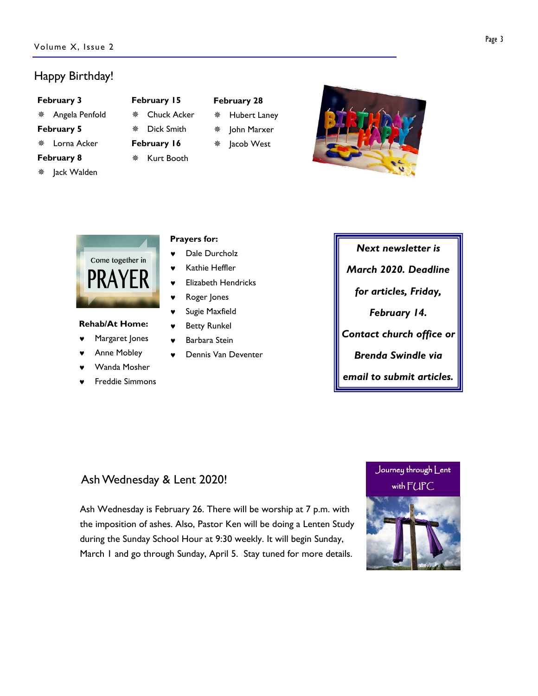#### Happy Birthday!

#### February 3

- Angela Penfold February 5 Lorna Acker February 8
- Jack Walden

### February 15

- Chuck Acker Dick Smith
- February 16
- **※ Kurt Booth**
- February 28
- Hubert Laney
- John Marxer
	- Jacob West





#### Rehab/At Home:

- Margaret Jones
- Anne Mobley
- Wanda Mosher
- **Freddie Simmons**

#### Prayers for:

- ♥ Dale Durcholz
- Kathie Heffler
- ♥ Elizabeth Hendricks
- Roger Jones
- ♥ Sugie Maxfield
- ♥ Betty Runkel
- Barbara Stein
- Dennis Van Deventer

# Next newsletter is March 2020. Deadline for articles, Friday, February 14. Contact church office or Brenda Swindle via

email to submit articles.

#### Ash Wednesday & Lent 2020!

Ash Wednesday is February 26. There will be worship at 7 p.m. with the imposition of ashes. Also, Pastor Ken will be doing a Lenten Study during the Sunday School Hour at 9:30 weekly. It will begin Sunday, March 1 and go through Sunday, April 5. Stay tuned for more details.